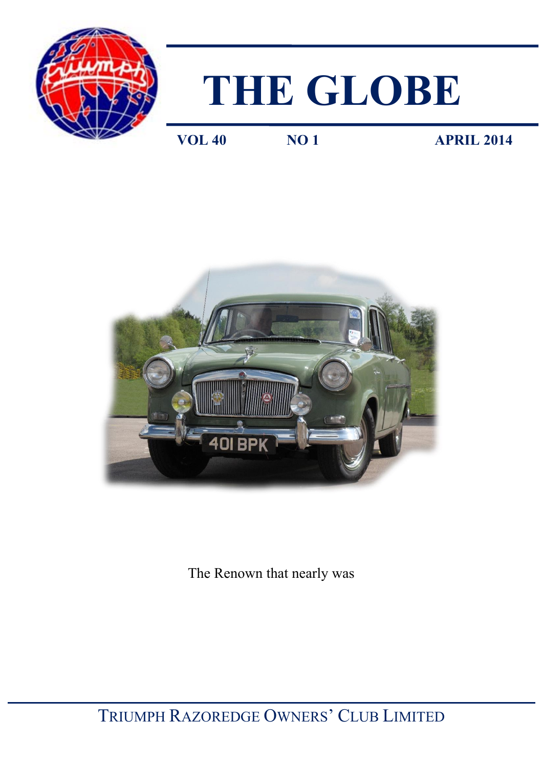

# **THE GLOBE**

**VOL 40 NO 1 APRIL 2014** 



The Renown that nearly was

TRIUMPH RAZOREDGE OWNERS' CLUB LIMITED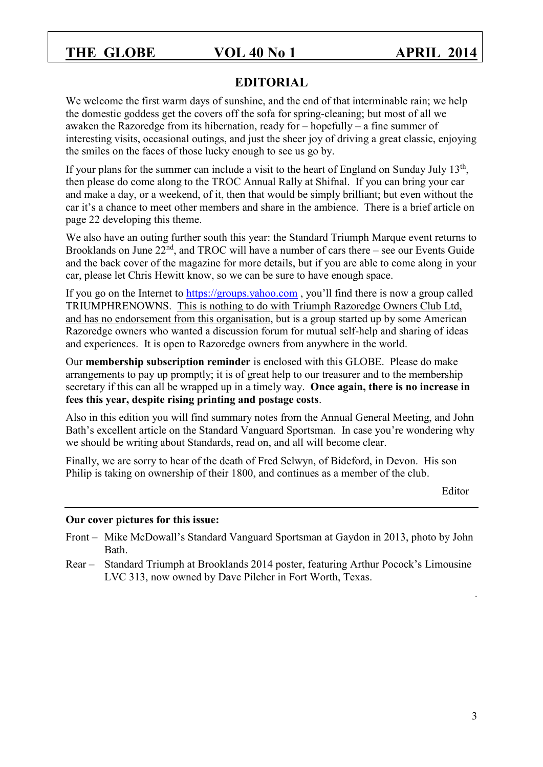#### **EDITORIAL**

We welcome the first warm days of sunshine, and the end of that interminable rain; we help the domestic goddess get the covers off the sofa for spring-cleaning; but most of all we awaken the Razoredge from its hibernation, ready for – hopefully – a fine summer of interesting visits, occasional outings, and just the sheer joy of driving a great classic, enjoying the smiles on the faces of those lucky enough to see us go by.

If your plans for the summer can include a visit to the heart of England on Sunday July  $13<sup>th</sup>$ , then please do come along to the TROC Annual Rally at Shifnal. If you can bring your car and make a day, or a weekend, of it, then that would be simply brilliant; but even without the car it's a chance to meet other members and share in the ambience. There is a brief article on page 22 developing this theme.

We also have an outing further south this year: the Standard Triumph Marque event returns to Brooklands on June  $22<sup>nd</sup>$ , and TROC will have a number of cars there – see our Events Guide and the back cover of the magazine for more details, but if you are able to come along in your car, please let Chris Hewitt know, so we can be sure to have enough space.

If you go on the Internet to [https://groups.yahoo.com](https://groups.yahoo.com/) , you'll find there is now a group called TRIUMPHRENOWNS. This is nothing to do with Triumph Razoredge Owners Club Ltd, and has no endorsement from this organisation, but is a group started up by some American Razoredge owners who wanted a discussion forum for mutual self-help and sharing of ideas and experiences. It is open to Razoredge owners from anywhere in the world.

Our **membership subscription reminder** is enclosed with this GLOBE. Please do make arrangements to pay up promptly; it is of great help to our treasurer and to the membership secretary if this can all be wrapped up in a timely way. **Once again, there is no increase in fees this year, despite rising printing and postage costs**.

Also in this edition you will find summary notes from the Annual General Meeting, and John Bath's excellent article on the Standard Vanguard Sportsman. In case you're wondering why we should be writing about Standards, read on, and all will become clear.

Finally, we are sorry to hear of the death of Fred Selwyn, of Bideford, in Devon. His son Philip is taking on ownership of their 1800, and continues as a member of the club.

Editor

#### **Our cover pictures for this issue:**

- Front Mike McDowall's Standard Vanguard Sportsman at Gaydon in 2013, photo by John **Bath**
- Rear Standard Triumph at Brooklands 2014 poster, featuring Arthur Pocock's Limousine LVC 313, now owned by Dave Pilcher in Fort Worth, Texas.

.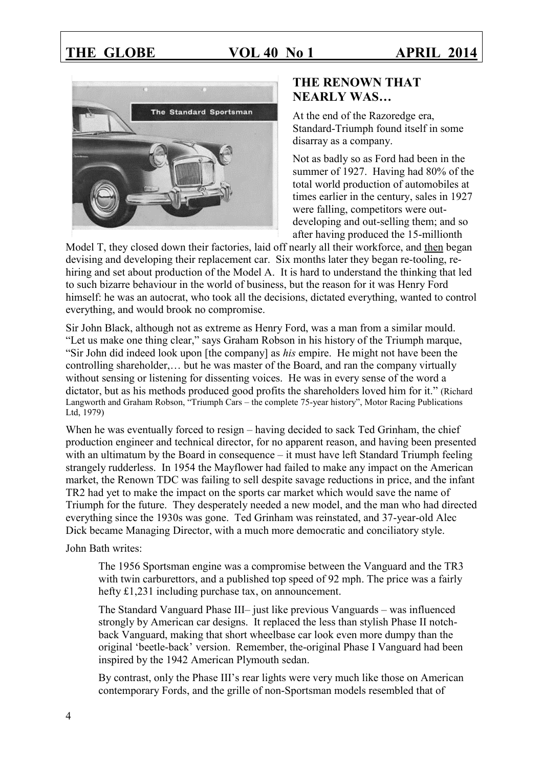

### **THE RENOWN THAT NEARLY WAS…**

At the end of the Razoredge era, Standard-Triumph found itself in some disarray as a company.

Not as badly so as Ford had been in the summer of 1927. Having had 80% of the total world production of automobiles at times earlier in the century, sales in 1927 were falling, competitors were outdeveloping and out-selling them; and so after having produced the 15-millionth

Model T, they closed down their factories, laid off nearly all their workforce, and then began devising and developing their replacement car. Six months later they began re-tooling, rehiring and set about production of the Model A. It is hard to understand the thinking that led to such bizarre behaviour in the world of business, but the reason for it was Henry Ford himself: he was an autocrat, who took all the decisions, dictated everything, wanted to control everything, and would brook no compromise.

Sir John Black, although not as extreme as Henry Ford, was a man from a similar mould. "Let us make one thing clear," says Graham Robson in his history of the Triumph marque, "Sir John did indeed look upon [the company] as *his* empire. He might not have been the controlling shareholder,… but he was master of the Board, and ran the company virtually without sensing or listening for dissenting voices. He was in every sense of the word a dictator, but as his methods produced good profits the shareholders loved him for it." (Richard Langworth and Graham Robson, "Triumph Cars – the complete 75-year history", Motor Racing Publications Ltd, 1979)

When he was eventually forced to resign – having decided to sack Ted Grinham, the chief production engineer and technical director, for no apparent reason, and having been presented with an ultimatum by the Board in consequence – it must have left Standard Triumph feeling strangely rudderless. In 1954 the Mayflower had failed to make any impact on the American market, the Renown TDC was failing to sell despite savage reductions in price, and the infant TR2 had yet to make the impact on the sports car market which would save the name of Triumph for the future. They desperately needed a new model, and the man who had directed everything since the 1930s was gone. Ted Grinham was reinstated, and 37-year-old Alec Dick became Managing Director, with a much more democratic and conciliatory style.

John Bath writes:

The 1956 Sportsman engine was a compromise between the Vanguard and the TR3 with twin carburettors, and a published top speed of 92 mph. The price was a fairly hefty £1,231 including purchase tax, on announcement.

The Standard Vanguard Phase III– just like previous Vanguards – was influenced strongly by American car designs. It replaced the less than stylish Phase II notchback Vanguard, making that short wheelbase car look even more dumpy than the original 'beetle-back' version. Remember, the-original Phase I Vanguard had been inspired by the 1942 American Plymouth sedan.

By contrast, only the Phase III's rear lights were very much like those on American contemporary Fords, and the grille of non-Sportsman models resembled that of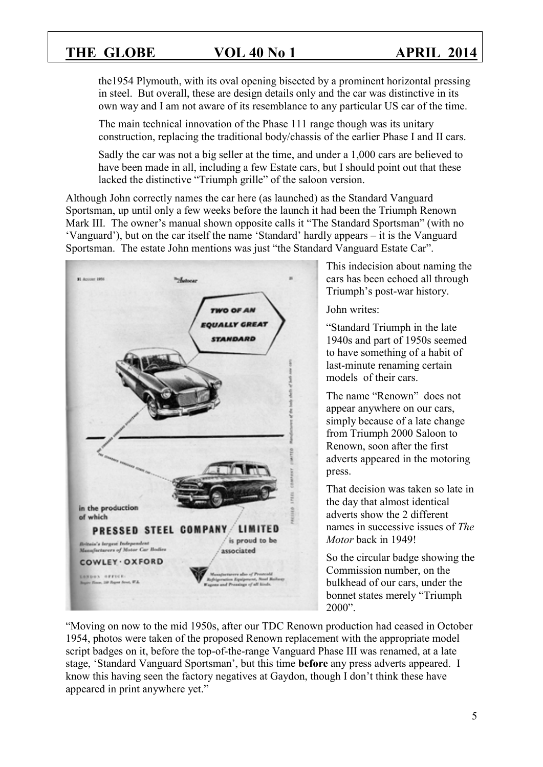the1954 Plymouth, with its oval opening bisected by a prominent horizontal pressing in steel. But overall, these are design details only and the car was distinctive in its own way and I am not aware of its resemblance to any particular US car of the time.

The main technical innovation of the Phase 111 range though was its unitary construction, replacing the traditional body/chassis of the earlier Phase I and II cars.

Sadly the car was not a big seller at the time, and under a 1,000 cars are believed to have been made in all, including a few Estate cars, but I should point out that these lacked the distinctive "Triumph grille" of the saloon version.

Although John correctly names the car here (as launched) as the Standard Vanguard Sportsman, up until only a few weeks before the launch it had been the Triumph Renown Mark III. The owner's manual shown opposite calls it "The Standard Sportsman" (with no 'Vanguard'), but on the car itself the name 'Standard' hardly appears – it is the Vanguard Sportsman. The estate John mentions was just "the Standard Vanguard Estate Car".



This indecision about naming the cars has been echoed all through Triumph's post-war history.

John writes:

"Standard Triumph in the late 1940s and part of 1950s seemed to have something of a habit of last-minute renaming certain models of their cars.

The name "Renown" does not appear anywhere on our cars, simply because of a late change from Triumph 2000 Saloon to Renown, soon after the first adverts appeared in the motoring press.

That decision was taken so late in the day that almost identical adverts show the 2 different names in successive issues of *The Motor* back in 1949!

So the circular badge showing the Commission number, on the bulkhead of our cars, under the bonnet states merely "Triumph 2000".

"Moving on now to the mid 1950s, after our TDC Renown production had ceased in October 1954, photos were taken of the proposed Renown replacement with the appropriate model script badges on it, before the top-of-the-range Vanguard Phase III was renamed, at a late stage, 'Standard Vanguard Sportsman', but this time **before** any press adverts appeared. I know this having seen the factory negatives at Gaydon, though I don't think these have appeared in print anywhere yet."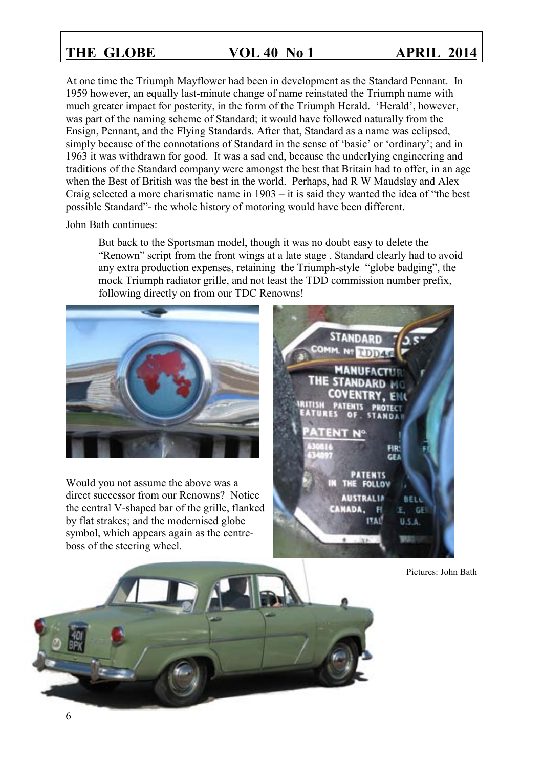At one time the Triumph Mayflower had been in development as the Standard Pennant. In 1959 however, an equally last-minute change of name reinstated the Triumph name with much greater impact for posterity, in the form of the Triumph Herald. 'Herald', however, was part of the naming scheme of Standard; it would have followed naturally from the Ensign, Pennant, and the Flying Standards. After that, Standard as a name was eclipsed, simply because of the connotations of Standard in the sense of 'basic' or 'ordinary'; and in 1963 it was withdrawn for good. It was a sad end, because the underlying engineering and traditions of the Standard company were amongst the best that Britain had to offer, in an age when the Best of British was the best in the world. Perhaps, had R W Maudslay and Alex Craig selected a more charismatic name in 1903 – it is said they wanted the idea of "the best possible Standard"- the whole history of motoring would have been different.

John Bath continues:

But back to the Sportsman model, though it was no doubt easy to delete the "Renown" script from the front wings at a late stage , Standard clearly had to avoid any extra production expenses, retaining the Triumph-style "globe badging", the mock Triumph radiator grille, and not least the TDD commission number prefix, following directly on from our TDC Renowns!



Would you not assume the above was a direct successor from our Renowns? Notice the central V-shaped bar of the grille, flanked by flat strakes; and the modernised globe symbol, which appears again as the centreboss of the steering wheel.



Pictures: John Bath

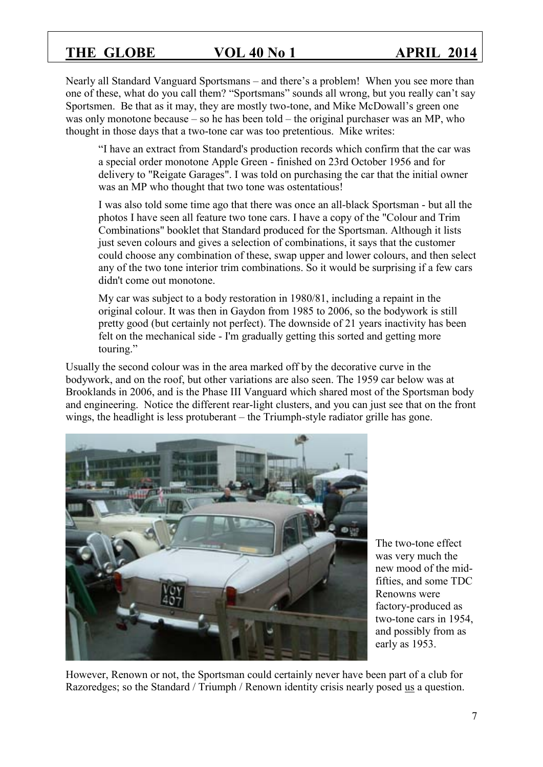Nearly all Standard Vanguard Sportsmans – and there's a problem! When you see more than one of these, what do you call them? "Sportsmans" sounds all wrong, but you really can't say Sportsmen. Be that as it may, they are mostly two-tone, and Mike McDowall's green one was only monotone because – so he has been told – the original purchaser was an MP, who thought in those days that a two-tone car was too pretentious. Mike writes:

"I have an extract from Standard's production records which confirm that the car was a special order monotone Apple Green - finished on 23rd October 1956 and for delivery to "Reigate Garages". I was told on purchasing the car that the initial owner was an MP who thought that two tone was ostentatious!

I was also told some time ago that there was once an all-black Sportsman - but all the photos I have seen all feature two tone cars. I have a copy of the "Colour and Trim Combinations" booklet that Standard produced for the Sportsman. Although it lists just seven colours and gives a selection of combinations, it says that the customer could choose any combination of these, swap upper and lower colours, and then select any of the two tone interior trim combinations. So it would be surprising if a few cars didn't come out monotone.

My car was subject to a body restoration in 1980/81, including a repaint in the original colour. It was then in Gaydon from 1985 to 2006, so the bodywork is still pretty good (but certainly not perfect). The downside of 21 years inactivity has been felt on the mechanical side - I'm gradually getting this sorted and getting more touring."

Usually the second colour was in the area marked off by the decorative curve in the bodywork, and on the roof, but other variations are also seen. The 1959 car below was at Brooklands in 2006, and is the Phase III Vanguard which shared most of the Sportsman body and engineering. Notice the different rear-light clusters, and you can just see that on the front wings, the headlight is less protuberant – the Triumph-style radiator grille has gone.



The two-tone effect was very much the new mood of the midfifties, and some TDC Renowns were factory-produced as two-tone cars in 1954, and possibly from as early as 1953.

However, Renown or not, the Sportsman could certainly never have been part of a club for Razoredges; so the Standard / Triumph / Renown identity crisis nearly posed us a question.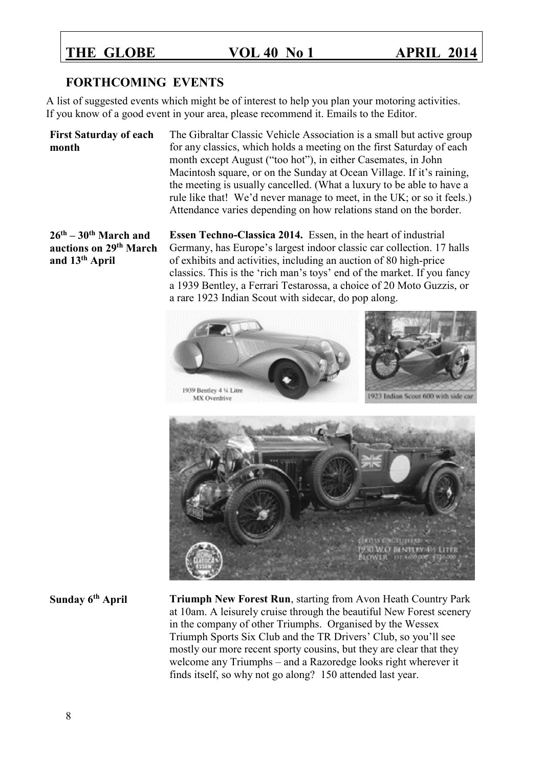#### **FORTHCOMING EVENTS**

A list of suggested events which might be of interest to help you plan your motoring activities. If you know of a good event in your area, please recommend it. Emails to the Editor.

#### **First Saturday of each month**

The Gibraltar Classic Vehicle Association is a small but active group for any classics, which holds a meeting on the first Saturday of each month except August ("too hot"), in either Casemates, in John Macintosh square, or on the Sunday at Ocean Village. If it's raining, the meeting is usually cancelled. (What a luxury to be able to have a rule like that! We'd never manage to meet, in the UK; or so it feels.) Attendance varies depending on how relations stand on the border.

#### **26th – 30th March and auctions on 29th March and 13 th April**

**Essen Techno-Classica 2014.** Essen, in the heart of industrial Germany, has Europe's largest indoor classic car collection. 17 halls of exhibits and activities, including an auction of 80 high-price classics. This is the 'rich man's toys' end of the market. If you fancy a 1939 Bentley, a Ferrari Testarossa, a choice of 20 Moto Guzzis, or a rare 1923 Indian Scout with sidecar, do pop along.



**Sunday 6th April Triumph New Forest Run**, starting from Avon Heath Country Park at 10am. A leisurely cruise through the beautiful New Forest scenery in the company of other Triumphs. Organised by the Wessex Triumph Sports Six Club and the TR Drivers' Club, so you'll see mostly our more recent sporty cousins, but they are clear that they welcome any Triumphs – and a Razoredge looks right wherever it finds itself, so why not go along? 150 attended last year.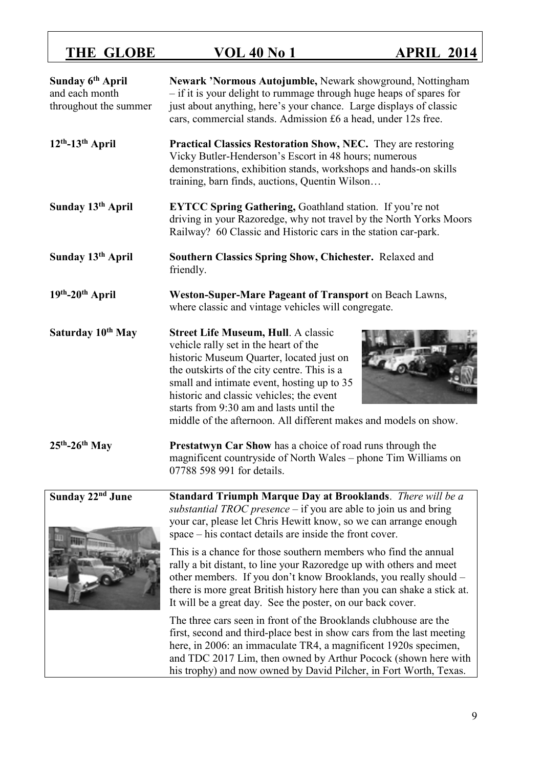| Sunday 6 <sup>th</sup> April<br>and each month<br>throughout the summer | Newark 'Normous Autojumble, Newark showground, Nottingham<br>- if it is your delight to rummage through huge heaps of spares for<br>just about anything, here's your chance. Large displays of classic<br>cars, commercial stands. Admission £6 a head, under 12s free.                                                                                                                                                                                                                                                                                                                                                                                                                                                                                                                                                                                                                                                                                                       |
|-------------------------------------------------------------------------|-------------------------------------------------------------------------------------------------------------------------------------------------------------------------------------------------------------------------------------------------------------------------------------------------------------------------------------------------------------------------------------------------------------------------------------------------------------------------------------------------------------------------------------------------------------------------------------------------------------------------------------------------------------------------------------------------------------------------------------------------------------------------------------------------------------------------------------------------------------------------------------------------------------------------------------------------------------------------------|
| $12th - 13th$ April                                                     | Practical Classics Restoration Show, NEC. They are restoring<br>Vicky Butler-Henderson's Escort in 48 hours; numerous<br>demonstrations, exhibition stands, workshops and hands-on skills<br>training, barn finds, auctions, Quentin Wilson                                                                                                                                                                                                                                                                                                                                                                                                                                                                                                                                                                                                                                                                                                                                   |
| Sunday 13th April                                                       | <b>EYTCC Spring Gathering, Goathland station.</b> If you're not<br>driving in your Razoredge, why not travel by the North Yorks Moors<br>Railway? 60 Classic and Historic cars in the station car-park.                                                                                                                                                                                                                                                                                                                                                                                                                                                                                                                                                                                                                                                                                                                                                                       |
| Sunday 13 <sup>th</sup> April                                           | Southern Classics Spring Show, Chichester. Relaxed and<br>friendly.                                                                                                                                                                                                                                                                                                                                                                                                                                                                                                                                                                                                                                                                                                                                                                                                                                                                                                           |
| 19th-20th April                                                         | Weston-Super-Mare Pageant of Transport on Beach Lawns,<br>where classic and vintage vehicles will congregate.                                                                                                                                                                                                                                                                                                                                                                                                                                                                                                                                                                                                                                                                                                                                                                                                                                                                 |
| Saturday 10 <sup>th</sup> May                                           | <b>Street Life Museum, Hull. A classic</b><br>vehicle rally set in the heart of the<br>historic Museum Quarter, located just on<br>the outskirts of the city centre. This is a<br>small and intimate event, hosting up to 35<br>historic and classic vehicles; the event<br>starts from 9:30 am and lasts until the<br>middle of the afternoon. All different makes and models on show.                                                                                                                                                                                                                                                                                                                                                                                                                                                                                                                                                                                       |
| $25th - 26th$ May                                                       | <b>Prestatwyn Car Show</b> has a choice of road runs through the<br>magnificent countryside of North Wales - phone Tim Williams on<br>07788 598 991 for details.                                                                                                                                                                                                                                                                                                                                                                                                                                                                                                                                                                                                                                                                                                                                                                                                              |
| Sunday 22 <sup>nd</sup> June                                            | Standard Triumph Marque Day at Brooklands. There will be a<br>substantial TROC presence $-$ if you are able to join us and bring<br>your car, please let Chris Hewitt know, so we can arrange enough<br>space – his contact details are inside the front cover.<br>This is a chance for those southern members who find the annual<br>rally a bit distant, to line your Razoredge up with others and meet<br>other members. If you don't know Brooklands, you really should –<br>there is more great British history here than you can shake a stick at.<br>It will be a great day. See the poster, on our back cover.<br>The three cars seen in front of the Brooklands clubhouse are the<br>first, second and third-place best in show cars from the last meeting<br>here, in 2006: an immaculate TR4, a magnificent 1920s specimen,<br>and TDC 2017 Lim, then owned by Arthur Pocock (shown here with<br>his trophy) and now owned by David Pilcher, in Fort Worth, Texas. |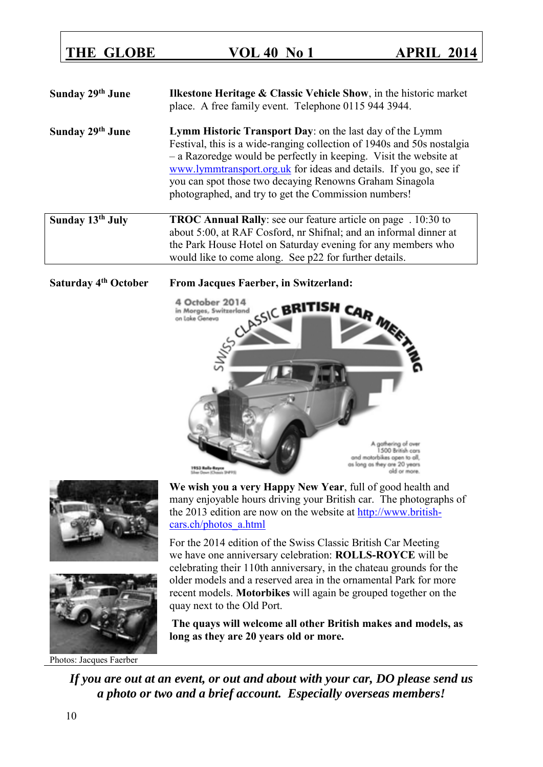# **Sunday 29th June Ilkestone Heritage & Classic Vehicle Show**, in the historic market place. A free family event. Telephone 0115 944 3944. **Sunday 29th June Lymm Historic Transport Day**: on the last day of the Lymm Festival, this is a wide-ranging collection of 1940s and 50s nostalgia – a Razoredge would be perfectly in keeping. Visit the website at [www.lymmtransport.org.uk](http://www.lymmtransport.org.uk/) for ideas and details. If you go, see if you can spot those two decaying Renowns Graham Sinagola photographed, and try to get the Commission numbers! **Sunday 13th July TROC Annual Rally**: see our feature article on page . 10:30 to

### about 5:00, at RAF Cosford, nr Shifnal; and an informal dinner at the Park House Hotel on Saturday evening for any members who would like to come along. See p22 for further details.







Photos: Jacques Faerber

**We wish you a very Happy New Year**, full of good health and many enjoyable hours driving your British car. The photographs of the 2013 edition are now on the website at [http://www.british](http://url.mp41.ch/url-257712429-1465241-01012014.html)[cars.ch/photos\\_a.html](http://url.mp41.ch/url-257712429-1465241-01012014.html)

For the 2014 edition of the Swiss Classic British Car Meeting we have one anniversary celebration: **ROLLS-ROYCE** will be celebrating their 110th anniversary, in the chateau grounds for the older models and a reserved area in the ornamental Park for more recent models. **Motorbikes** will again be grouped together on the quay next to the Old Port.

**The quays will welcome all other British makes and models, as long as they are 20 years old or more.**

*If you are out at an event, or out and about with your car, DO please send us a photo or two and a brief account. Especially overseas members!*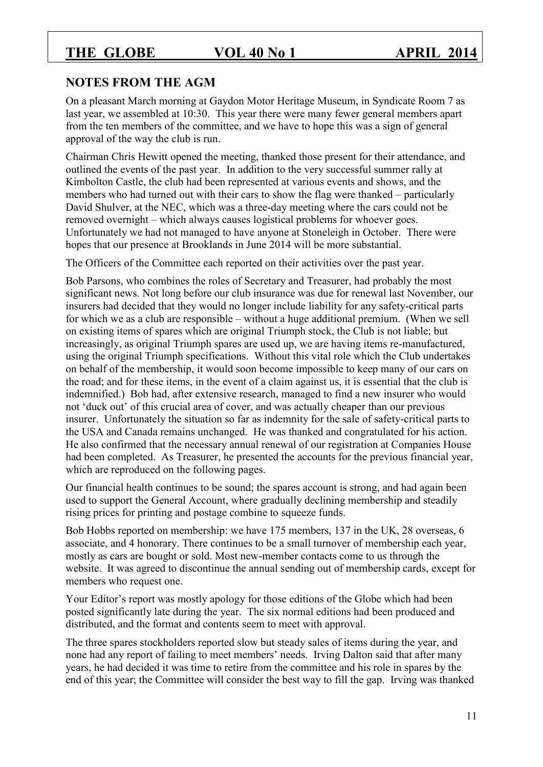### **NOTES FROM THE AGM**

On a pleasant March morning at Gaydon Motor Heritage Museum, in Syndicate Room 7 as last year, we assembled at 10:30. This year there were many fewer general members apart from the ten members of the committee, and we have to hope this was a sign of general approval of the way the club is run.

Chairman Chris Hewitt opened the meeting, thanked those present for their attendance, and outlined the events of the past year. In addition to the very successful summer rally at Kimbolton Castle, the club had been represented at various events and shows, and the members who had turned out with their cars to show the flag were thanked – particularly David Shulver, at the NEC, which was a three-day meeting where the cars could not be removed overnight – which always causes logistical problems for whoever goes. Unfortunately we had not managed to have anyone at Stoneleigh in October. There were hopes that our presence at Brooklands in June 2014 will be more substantial.

The Officers of the Committee each reported on their activities over the past year.

Bob Parsons, who combines the roles of Secretary and Treasurer, had probably the most significant news. Not long before our club insurance was due for renewal last November, our insurers had decided that they would no longer include liability for any safety-critical parts for which we as a club are responsible – without a huge additional premium. (When we sell on existing items of spares which are original Triumph stock, the Club is not liable; but increasingly, as original Triumph spares are used up, we are having items re-manufactured, using the original Triumph specifications. Without this vital role which the Club undertakes on behalf of the membership, it would soon become impossible to keep many of our cars on the road; and for these items, in the event of a claim against us, it is essential that the club is indemnified.) Bob had, after extensive research, managed to find a new insurer who would not 'duck out' of this crucial area of cover, and was actually cheaper than our previous insurer. Unfortunately the situation so far as indemnity for the sale of safety-critical parts to the USA and Canada remains unchanged. He was thanked and congratulated for his action. He also confirmed that the necessary annual renewal of our registration at Companies House had been completed. As Treasurer, he presented the accounts for the previous financial year, which are reproduced on the following pages.

Our financial health continues to be sound; the spares account is strong, and had again been used to support the General Account, where gradually declining membership and steadily rising prices for printing and postage combine to squeeze funds.

Bob Hobbs reported on membership: we have 175 members, 137 in the UK, 28 overseas, 6 associate, and 4 honorary. There continues to be a small turnover of membership each year, mostly as cars are bought or sold. Most new-member contacts come to us through the website. It was agreed to discontinue the annual sending out of membership cards, except for members who request one.

Your Editor's report was mostly apology for those editions of the Globe which had been posted significantly late during the year. The six normal editions had been produced and distributed, and the format and contents seem to meet with approval.

The three spares stockholders reported slow but steady sales of items during the year, and none had any report of failing to meet members' needs. Irving Dalton said that after many years, he had decided it was time to retire from the committee and his role in spares by the end of this year; the Committee will consider the best way to fill the gap. Irving was thanked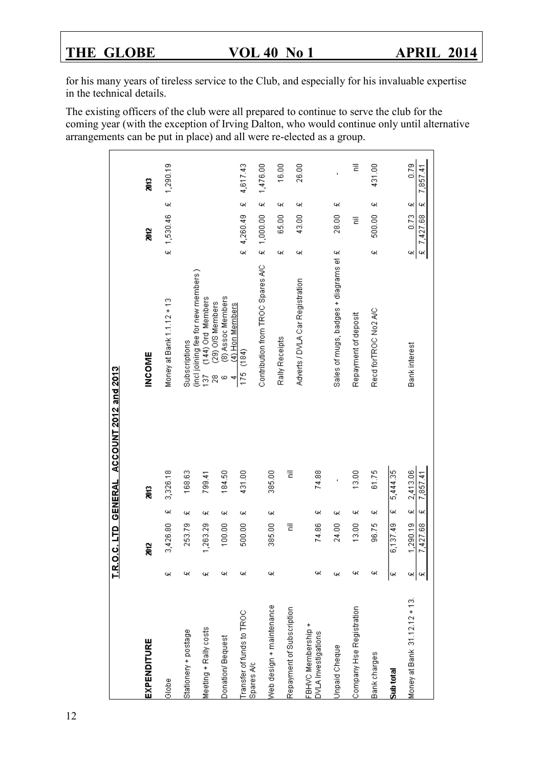for his many years of tireless service to the Club, and especially for his invaluable expertise in the technical details.

The existing officers of the club were all prepared to continue to serve the club for the coming year (with the exception of Irving Dalton, who would continue only until alternative arrangements can be put in place) and all were re-elected as a group.

| EXPENDITURE                                    | ă                    |        | ã                    | <b>INCOME</b>                                                   |                      | 2012             |        | ã                |
|------------------------------------------------|----------------------|--------|----------------------|-----------------------------------------------------------------|----------------------|------------------|--------|------------------|
| щ<br>Globe                                     | 3,426.80             | щ      | 3,326.18             | Money at Bank 1.1.12 + 13                                       |                      | £ 1,530.46       | ж      | 1,290.19         |
| щ<br>Stationery + postage                      | 253.79               | ж      | 168.63               | Subscriptions                                                   |                      |                  |        |                  |
| щ<br>Meeting + Rally costs                     | 1,263.29             | щ      | 799.41               | (incl joining fee for new members )<br>(144) Ord Members<br>137 |                      |                  |        |                  |
| щ<br>Donation/Bequest                          | 100.00               | щ      | 184,50               | (8) Assoc Members<br>(29) O/S Members<br>$\frac{8}{2}$<br>ω     |                      |                  |        |                  |
| щ<br>Transfer of funds to TROC<br>Spares Arc   | 500.00               | ж      | 431.00               | (4) Hon Members<br>(184)<br>175<br>4                            | $\tilde{\mathbf{z}}$ | 4,260.49         | ж      | 4,617.43         |
|                                                |                      |        |                      | Contribution from TROC Spares A/C                               | Ф.                   | 1,000.00         | щ      | 1,476.00         |
| ж<br>Web design + maintenance                  | 385.00               | ж      | 385.00               | Rally Receipts                                                  | ж,                   | 65.00            | щ      | 16.00            |
| Repayment of Subscription                      | Ē                    |        | Ē                    | Adverts / DVLA Car Registration                                 | ж                    | 43.00            | щ      | 26.00            |
| щ<br>FBHVC Membership +<br>DVLA Investigations | 74.86                | щ      | 74.88                |                                                                 |                      |                  |        |                  |
| щ,<br>Unpaid Cheque                            | 24.00                | щ      | ï                    | Sales of mugs, badges + diagrams ef £                           |                      | 28.00            | щ      | ï                |
| щ<br>Company Hse Registration                  | 13.00                | щ      | 13.00                | Repayment of deposit                                            |                      | Έ                |        | Έ                |
| щ<br>Bank charges                              | 96.75                | щ      | 61.75                | Recd for TROC No2 A/C                                           | ж                    | 500.00           | щ      | 431.00           |
| щ<br>Sub total                                 | 6,137.49             | щ      | 5,444.35             |                                                                 |                      |                  |        |                  |
| щ<br>чα <br>Money at Bank 31.12.12 + 13.       | 1,290.19<br>7,427.68 | ж<br>щ | 2,413.06<br>7,857.41 | Bank interest                                                   | $\epsilon$<br>щ      | 0.73<br>7,427.68 | щ<br>щ | 0.79<br>7,857.41 |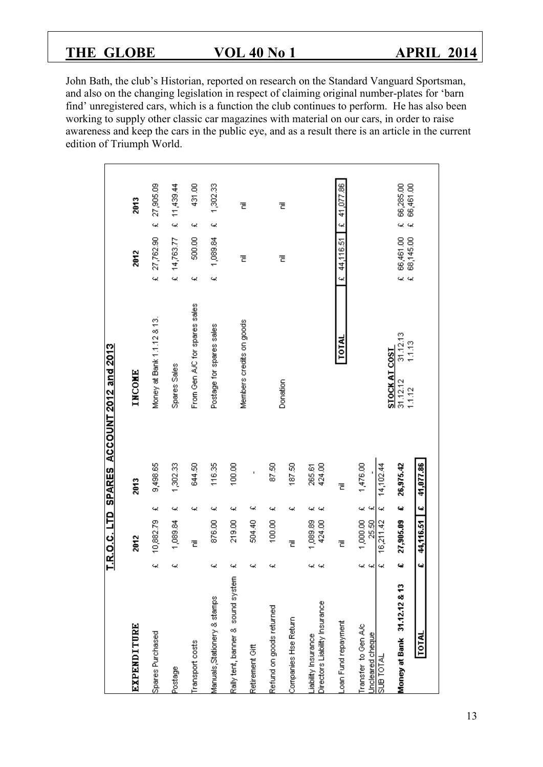John Bath, the club's Historian, reported on research on the Standard Vanguard Sportsman, and also on the changing legislation in respect of claiming original number-plates for 'barn find' unregistered cars, which is a function the club continues to perform. He has also been working to supply other classic car magazines with material on our cars, in order to raise awareness and keep the cars in the public eye, and as a result there is an article in the current edition of Triumph World.

|                                                     |        |                    |                      |                  | T.R.O.C. LTD SPARES ACCOUNT 2012 and 2013 |                              |                        |                                  |                        |  |
|-----------------------------------------------------|--------|--------------------|----------------------|------------------|-------------------------------------------|------------------------------|------------------------|----------------------------------|------------------------|--|
| EXPENDITURE                                         |        | 2012               |                      | 2013             | <b>INCOME</b>                             |                              | 2012                   |                                  | 2013                   |  |
| Spares Purchased                                    | щ      | 10,882.79          | щ                    | 9,498.65         | Money at Bank 1.1.12 & 13.                |                              | £ 27,762.90            | $\ddot{\phantom{1}}$             | 27,905.09              |  |
| Postage                                             | щ      | 1,089.84           | щ                    | 1,302.33         | Spares Sales                              |                              | £ 14,763.77            |                                  | £ 11,439.44            |  |
| Transport costs                                     |        | 定                  | щ                    | 644.50           | From Gen A/C for spares sales             | щ                            | 500.00                 | щ                                | 431.00                 |  |
| Manuals, Stationery & stamps                        | щ      | 876.00             | щ                    | 116.35           | Postage for spares sales                  | щ                            | 1,089.84               | щ                                | 1,302.33               |  |
| Rally tent, banner & sound system                   | щ      | 219.00             | щ                    | 100.00           |                                           |                              |                        |                                  |                        |  |
| Retirement Gift                                     | 4      | 504.40             | щ                    | ı                | Members credits on goods                  |                              | 쿹                      |                                  | 定                      |  |
| Refund on goods returned                            | щ      | 100,00             | щ                    | 87.50            |                                           |                              |                        |                                  |                        |  |
| Companies Hse Return                                |        | Έ                  | щ                    | 187.50           | Donation                                  |                              | Ē                      |                                  | 定                      |  |
| Directors Liabilty Insurance<br>Liability Insurance | 41 41  | 1,089.89<br>424.00 | щ<br>46              | 424.00<br>265.61 |                                           |                              |                        |                                  |                        |  |
| Loan Fund repayment                                 |        | 定                  |                      | Ē                | TOTAL                                     | $\ddot{\phantom{1}}$         | 44,116.51              | $\ddot{}$                        | 41,077.86              |  |
| Transfer to Gen A/c<br>Uncleared cheque             | 41. 41 | 1,000.00<br>25.50  | Q) Q)                | 1,476.00         |                                           |                              |                        |                                  |                        |  |
| SUB TOTAL                                           | щ      | 16,211.42          | щ                    | 14,102.44        | STOCK AT COST                             |                              |                        |                                  |                        |  |
| Money at Bank 31.12.12 & 13                         | ييا    | 27,905.09          | 4                    | 26,975.42        | 31.12.13<br>1.1.13<br>31.12.12<br>1.1.12  | щ<br>$\overline{\mathbf{z}}$ | 66,461.00<br>68,145.00 | $\ddot{\phantom{1}}$<br>$\omega$ | 66,285.00<br>66,461.00 |  |
| TOTAL                                               | ڼيا    | 44,116.51          | $\ddot{\phantom{0}}$ | 41,077.86        |                                           |                              |                        |                                  |                        |  |
|                                                     |        |                    |                      |                  |                                           |                              |                        |                                  |                        |  |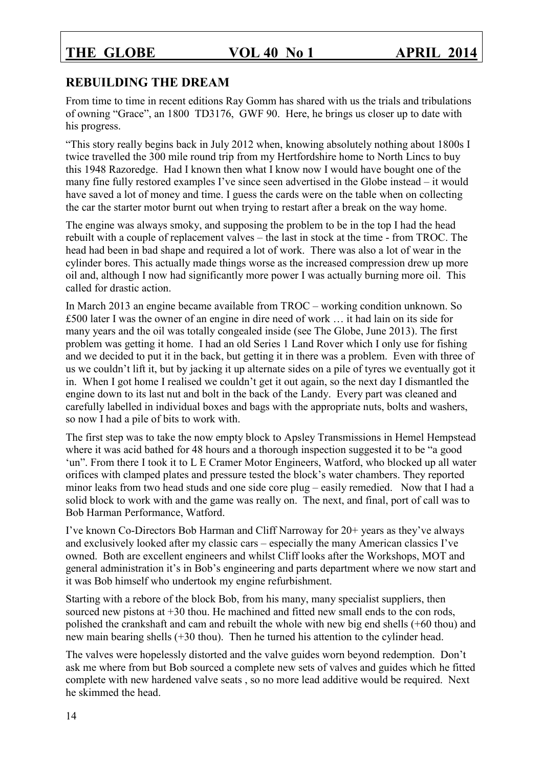### **REBUILDING THE DREAM**

From time to time in recent editions Ray Gomm has shared with us the trials and tribulations of owning "Grace", an 1800 TD3176, GWF 90. Here, he brings us closer up to date with his progress.

"This story really begins back in July 2012 when, knowing absolutely nothing about 1800s I twice travelled the 300 mile round trip from my Hertfordshire home to North Lincs to buy this 1948 Razoredge. Had I known then what I know now I would have bought one of the many fine fully restored examples I've since seen advertised in the Globe instead – it would have saved a lot of money and time. I guess the cards were on the table when on collecting the car the starter motor burnt out when trying to restart after a break on the way home.

The engine was always smoky, and supposing the problem to be in the top I had the head rebuilt with a couple of replacement valves – the last in stock at the time - from TROC. The head had been in bad shape and required a lot of work. There was also a lot of wear in the cylinder bores. This actually made things worse as the increased compression drew up more oil and, although I now had significantly more power I was actually burning more oil. This called for drastic action.

In March 2013 an engine became available from TROC – working condition unknown. So £500 later I was the owner of an engine in dire need of work … it had lain on its side for many years and the oil was totally congealed inside (see The Globe, June 2013). The first problem was getting it home. I had an old Series 1 Land Rover which I only use for fishing and we decided to put it in the back, but getting it in there was a problem. Even with three of us we couldn't lift it, but by jacking it up alternate sides on a pile of tyres we eventually got it in. When I got home I realised we couldn't get it out again, so the next day I dismantled the engine down to its last nut and bolt in the back of the Landy. Every part was cleaned and carefully labelled in individual boxes and bags with the appropriate nuts, bolts and washers, so now I had a pile of bits to work with.

The first step was to take the now empty block to Apsley Transmissions in Hemel Hempstead where it was acid bathed for 48 hours and a thorough inspection suggested it to be "a good 'un". From there I took it to L E Cramer Motor Engineers, Watford, who blocked up all water orifices with clamped plates and pressure tested the block's water chambers. They reported minor leaks from two head studs and one side core plug – easily remedied. Now that I had a solid block to work with and the game was really on. The next, and final, port of call was to Bob Harman Performance, Watford.

I've known Co-Directors Bob Harman and Cliff Narroway for 20+ years as they've always and exclusively looked after my classic cars – especially the many American classics I've owned. Both are excellent engineers and whilst Cliff looks after the Workshops, MOT and general administration it's in Bob's engineering and parts department where we now start and it was Bob himself who undertook my engine refurbishment.

Starting with a rebore of the block Bob, from his many, many specialist suppliers, then sourced new pistons at  $+30$  thou. He machined and fitted new small ends to the con rods, polished the crankshaft and cam and rebuilt the whole with new big end shells (+60 thou) and new main bearing shells (+30 thou). Then he turned his attention to the cylinder head.

The valves were hopelessly distorted and the valve guides worn beyond redemption. Don't ask me where from but Bob sourced a complete new sets of valves and guides which he fitted complete with new hardened valve seats , so no more lead additive would be required. Next he skimmed the head.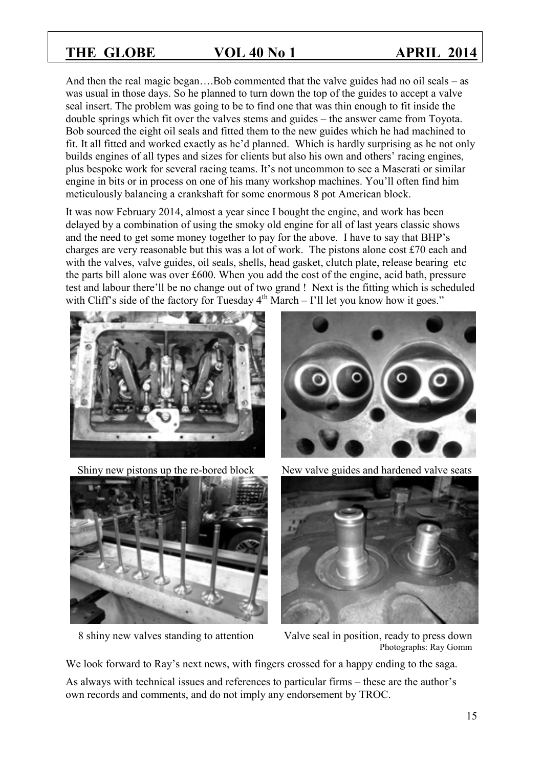And then the real magic began….Bob commented that the valve guides had no oil seals – as was usual in those days. So he planned to turn down the top of the guides to accept a valve seal insert. The problem was going to be to find one that was thin enough to fit inside the double springs which fit over the valves stems and guides – the answer came from Toyota. Bob sourced the eight oil seals and fitted them to the new guides which he had machined to fit. It all fitted and worked exactly as he'd planned. Which is hardly surprising as he not only builds engines of all types and sizes for clients but also his own and others' racing engines, plus bespoke work for several racing teams. It's not uncommon to see a Maserati or similar engine in bits or in process on one of his many workshop machines. You'll often find him meticulously balancing a crankshaft for some enormous 8 pot American block.

It was now February 2014, almost a year since I bought the engine, and work has been delayed by a combination of using the smoky old engine for all of last years classic shows and the need to get some money together to pay for the above. I have to say that BHP's charges are very reasonable but this was a lot of work. The pistons alone cost £70 each and with the valves, valve guides, oil seals, shells, head gasket, clutch plate, release bearing etc the parts bill alone was over £600. When you add the cost of the engine, acid bath, pressure test and labour there'll be no change out of two grand ! Next is the fitting which is scheduled with Cliff's side of the factory for Tuesday  $4<sup>th</sup> March - 1'$ ll let you know how it goes."







Shiny new pistons up the re-bored block New valve guides and hardened valve seats



8 shiny new valves standing to attention Valve seal in position, ready to press down Photographs: Ray Gomm

We look forward to Ray's next news, with fingers crossed for a happy ending to the saga.

As always with technical issues and references to particular firms – these are the author's own records and comments, and do not imply any endorsement by TROC.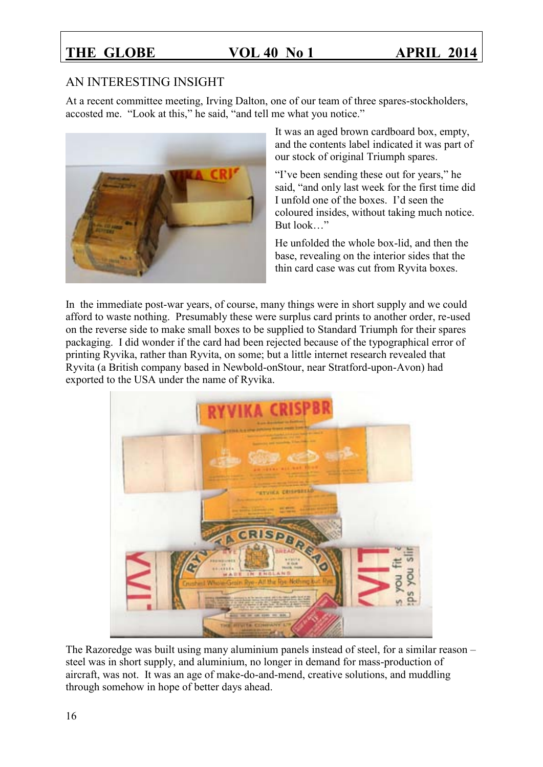### AN INTERESTING INSIGHT

At a recent committee meeting, Irving Dalton, one of our team of three spares-stockholders, accosted me. "Look at this," he said, "and tell me what you notice."



It was an aged brown cardboard box, empty, and the contents label indicated it was part of our stock of original Triumph spares.

"I've been sending these out for years," he said, "and only last week for the first time did I unfold one of the boxes. I'd seen the coloured insides, without taking much notice. But look…"

He unfolded the whole box-lid, and then the base, revealing on the interior sides that the thin card case was cut from Ryvita boxes.

In the immediate post-war years, of course, many things were in short supply and we could afford to waste nothing. Presumably these were surplus card prints to another order, re-used on the reverse side to make small boxes to be supplied to Standard Triumph for their spares packaging. I did wonder if the card had been rejected because of the typographical error of printing Ryvika, rather than Ryvita, on some; but a little internet research revealed that Ryvita (a British company based in Newbold-onStour, near Stratford-upon-Avon) had exported to the USA under the name of Ryvika.



The Razoredge was built using many aluminium panels instead of steel, for a similar reason – steel was in short supply, and aluminium, no longer in demand for mass-production of aircraft, was not. It was an age of make-do-and-mend, creative solutions, and muddling through somehow in hope of better days ahead.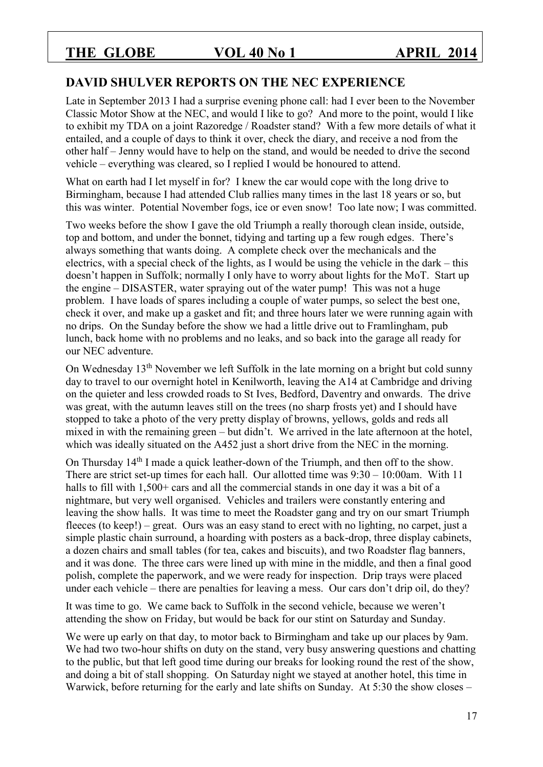### **DAVID SHULVER REPORTS ON THE NEC EXPERIENCE**

Late in September 2013 I had a surprise evening phone call: had I ever been to the November Classic Motor Show at the NEC, and would I like to go? And more to the point, would I like to exhibit my TDA on a joint Razoredge / Roadster stand? With a few more details of what it entailed, and a couple of days to think it over, check the diary, and receive a nod from the other half – Jenny would have to help on the stand, and would be needed to drive the second vehicle – everything was cleared, so I replied I would be honoured to attend.

What on earth had I let myself in for? I knew the car would cope with the long drive to Birmingham, because I had attended Club rallies many times in the last 18 years or so, but this was winter. Potential November fogs, ice or even snow! Too late now; I was committed.

Two weeks before the show I gave the old Triumph a really thorough clean inside, outside, top and bottom, and under the bonnet, tidying and tarting up a few rough edges. There's always something that wants doing. A complete check over the mechanicals and the electrics, with a special check of the lights, as I would be using the vehicle in the dark – this doesn't happen in Suffolk; normally I only have to worry about lights for the MoT. Start up the engine – DISASTER, water spraying out of the water pump! This was not a huge problem. I have loads of spares including a couple of water pumps, so select the best one, check it over, and make up a gasket and fit; and three hours later we were running again with no drips. On the Sunday before the show we had a little drive out to Framlingham, pub lunch, back home with no problems and no leaks, and so back into the garage all ready for our NEC adventure.

On Wednesday 13th November we left Suffolk in the late morning on a bright but cold sunny day to travel to our overnight hotel in Kenilworth, leaving the A14 at Cambridge and driving on the quieter and less crowded roads to St Ives, Bedford, Daventry and onwards. The drive was great, with the autumn leaves still on the trees (no sharp frosts yet) and I should have stopped to take a photo of the very pretty display of browns, yellows, golds and reds all mixed in with the remaining green – but didn't. We arrived in the late afternoon at the hotel, which was ideally situated on the A452 just a short drive from the NEC in the morning.

On Thursday 14th I made a quick leather-down of the Triumph, and then off to the show. There are strict set-up times for each hall. Our allotted time was 9:30 – 10:00am. With 11 halls to fill with 1,500+ cars and all the commercial stands in one day it was a bit of a nightmare, but very well organised. Vehicles and trailers were constantly entering and leaving the show halls. It was time to meet the Roadster gang and try on our smart Triumph fleeces (to keep!) – great. Ours was an easy stand to erect with no lighting, no carpet, just a simple plastic chain surround, a hoarding with posters as a back-drop, three display cabinets, a dozen chairs and small tables (for tea, cakes and biscuits), and two Roadster flag banners, and it was done. The three cars were lined up with mine in the middle, and then a final good polish, complete the paperwork, and we were ready for inspection. Drip trays were placed under each vehicle – there are penalties for leaving a mess. Our cars don't drip oil, do they?

It was time to go. We came back to Suffolk in the second vehicle, because we weren't attending the show on Friday, but would be back for our stint on Saturday and Sunday.

We were up early on that day, to motor back to Birmingham and take up our places by 9am. We had two two-hour shifts on duty on the stand, very busy answering questions and chatting to the public, but that left good time during our breaks for looking round the rest of the show, and doing a bit of stall shopping. On Saturday night we stayed at another hotel, this time in Warwick, before returning for the early and late shifts on Sunday. At 5:30 the show closes –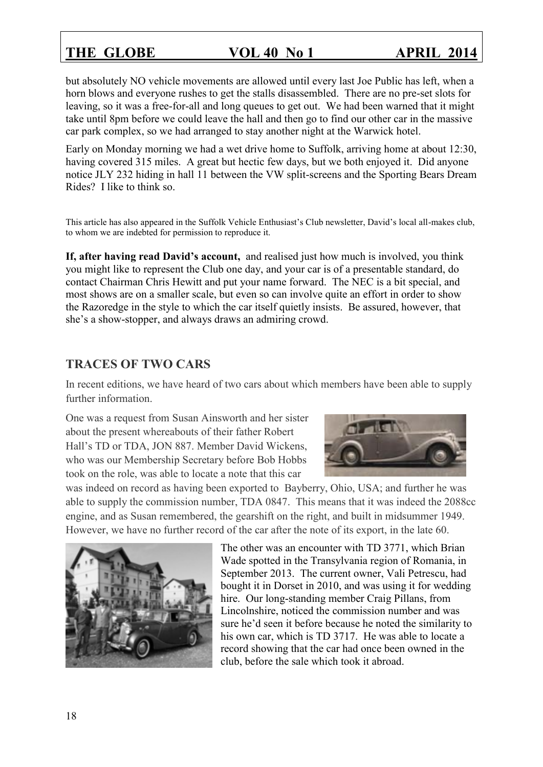but absolutely NO vehicle movements are allowed until every last Joe Public has left, when a horn blows and everyone rushes to get the stalls disassembled. There are no pre-set slots for leaving, so it was a free-for-all and long queues to get out. We had been warned that it might take until 8pm before we could leave the hall and then go to find our other car in the massive car park complex, so we had arranged to stay another night at the Warwick hotel.

Early on Monday morning we had a wet drive home to Suffolk, arriving home at about 12:30, having covered 315 miles. A great but hectic few days, but we both enjoyed it. Did anyone notice JLY 232 hiding in hall 11 between the VW split-screens and the Sporting Bears Dream Rides? I like to think so.

This article has also appeared in the Suffolk Vehicle Enthusiast's Club newsletter, David's local all-makes club, to whom we are indebted for permission to reproduce it.

**If, after having read David's account,** and realised just how much is involved, you think you might like to represent the Club one day, and your car is of a presentable standard, do contact Chairman Chris Hewitt and put your name forward. The NEC is a bit special, and most shows are on a smaller scale, but even so can involve quite an effort in order to show the Razoredge in the style to which the car itself quietly insists. Be assured, however, that she's a show-stopper, and always draws an admiring crowd.

### **TRACES OF TWO CARS**

In recent editions, we have heard of two cars about which members have been able to supply further information.

One was a request from Susan Ainsworth and her sister about the present whereabouts of their father Robert Hall's TD or TDA, JON 887. Member David Wickens, who was our Membership Secretary before Bob Hobbs took on the role, was able to locate a note that this car



was indeed on record as having been exported to Bayberry, Ohio, USA; and further he was able to supply the commission number, TDA 0847. This means that it was indeed the 2088cc engine, and as Susan remembered, the gearshift on the right, and built in midsummer 1949. However, we have no further record of the car after the note of its export, in the late 60.



The other was an encounter with TD 3771, which Brian Wade spotted in the Transylvania region of Romania, in September 2013. The current owner, Vali Petrescu, had bought it in Dorset in 2010, and was using it for wedding hire. Our long-standing member Craig Pillans, from Lincolnshire, noticed the commission number and was sure he'd seen it before because he noted the similarity to his own car, which is TD 3717. He was able to locate a record showing that the car had once been owned in the club, before the sale which took it abroad.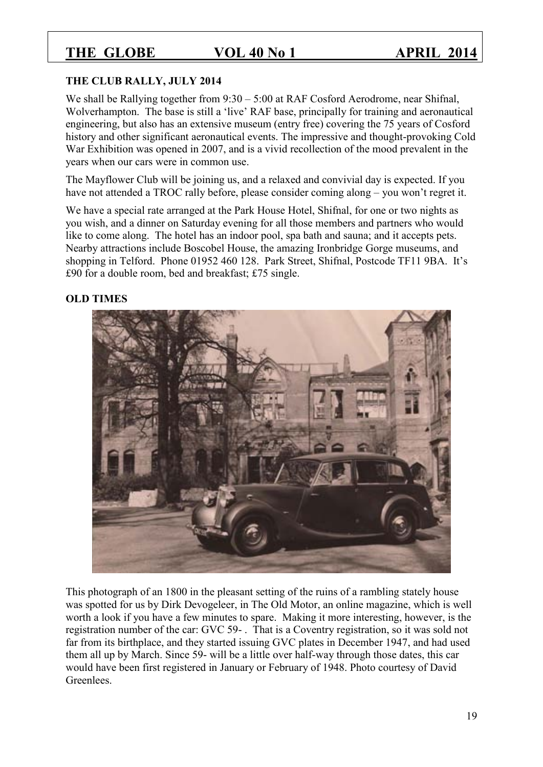#### **THE CLUB RALLY, JULY 2014**

We shall be Rallying together from 9:30 – 5:00 at RAF Cosford Aerodrome, near Shifnal, Wolverhampton. The base is still a 'live' RAF base, principally for training and aeronautical engineering, but also has an extensive museum (entry free) covering the 75 years of Cosford history and other significant aeronautical events. The impressive and thought-provoking Cold War Exhibition was opened in 2007, and is a vivid recollection of the mood prevalent in the years when our cars were in common use.

The Mayflower Club will be joining us, and a relaxed and convivial day is expected. If you have not attended a TROC rally before, please consider coming along – you won't regret it.

We have a special rate arranged at the Park House Hotel, Shifnal, for one or two nights as you wish, and a dinner on Saturday evening for all those members and partners who would like to come along. The hotel has an indoor pool, spa bath and sauna; and it accepts pets. Nearby attractions include Boscobel House, the amazing Ironbridge Gorge museums, and shopping in Telford. Phone 01952 460 128. Park Street, Shifnal, Postcode TF11 9BA. It's £90 for a double room, bed and breakfast; £75 single.

#### **OLD TIMES**



This photograph of an 1800 in the pleasant setting of the ruins of a rambling stately house was spotted for us by Dirk Devogeleer, in The Old Motor, an online magazine, which is well worth a look if you have a few minutes to spare. Making it more interesting, however, is the registration number of the car: GVC 59- . That is a Coventry registration, so it was sold not far from its birthplace, and they started issuing GVC plates in December 1947, and had used them all up by March. Since 59- will be a little over half-way through those dates, this car would have been first registered in January or February of 1948. Photo courtesy of David Greenlees.